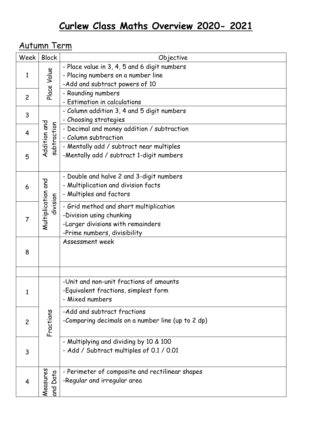## Autumn Term

| Week           | <b>Block</b>                   | Objective                                                                                                                               |
|----------------|--------------------------------|-----------------------------------------------------------------------------------------------------------------------------------------|
| 1              | Place Value                    | - Place value in 3, 4, 5 and 6 digit numbers<br>- Placing numbers on a number line<br>-Add and subtract powers of 10                    |
| $\overline{c}$ |                                | - Rounding numbers<br>- Estimation in calculations                                                                                      |
| 3              | Addition and<br>subtraction    | - Column addition 3, 4 and 5 digit numbers<br>- Choosing strategies                                                                     |
| 4              |                                | - Decimal and money addition / subtraction<br>- Column subtraction                                                                      |
| 5              |                                | - Mentally add / subtract near multiples<br>-Mentally add / subtract 1-digit numbers                                                    |
| 6              | Multiplication and<br>division | - Double and halve 2 and 3-digit numbers<br>- Multiplication and division facts<br>- Multiples and factors                              |
| 7              |                                | - Grid method and short multiplication<br>-Division using chunking<br>-Larger divisions with remainders<br>-Prime numbers, divisibility |
| 8              |                                | Assessment week                                                                                                                         |
|                |                                |                                                                                                                                         |
| $\mathbf{1}$   | Fractions                      | -Unit and non-unit fractions of amounts<br>-Equivalent fractions, simplest form<br>- Mixed numbers                                      |
| $\overline{c}$ |                                | -Add and subtract fractions<br>-Comparing decimals on a number line (up to 2 dp)                                                        |
| 3              |                                | - Multiplying and dividing by 10 & 100<br>- Add / Subtract multiples of 0.1 / 0.01                                                      |
| 4              | Measures<br>Data<br>and        | - Perimeter of composite and rectilinear shapes<br>-Regular and irregular area                                                          |